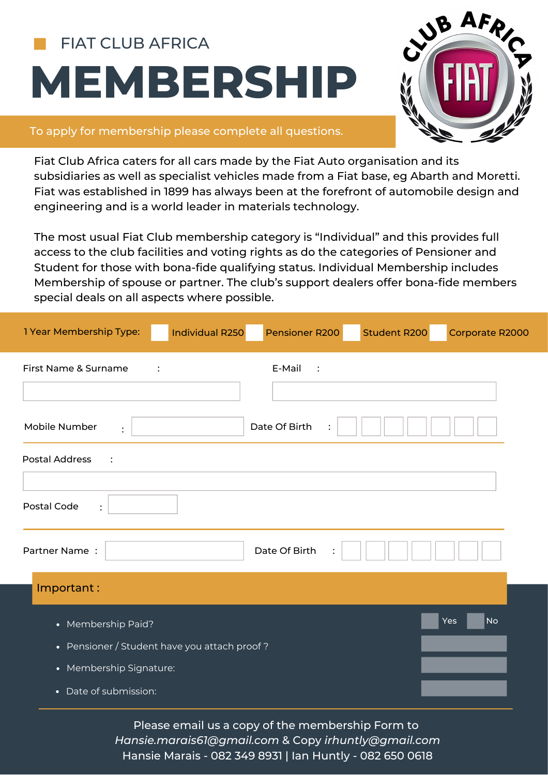## **MEMBERSHIP** FIAT CLUB AFRICA



## To apply for membership please complete all questions.

Fiat Club Africa caters for all cars made by the Fiat Auto organisation and its subsidiaries as well as specialist vehicles made from a Fiat base, eg Abarth and Moretti. Fiat was established in 1899 has always been at the forefront of automobile design and engineering and is a world leader in materials technology.

The most usual Fiat Club membership category is "Individual" and this provides full access to the club facilities and voting rights as do the categories of Pensioner and Student for those with bona-fide qualifying status. Individual Membership includes Membership of spouse or partner. The club's support dealers offer bona-fide members special deals on all aspects where possible.

| 1 Year Membership Type:<br><b>Individual R250</b> | Pensioner R200    | <b>Student R200</b> | Corporate R2000                 |  |  |  |  |
|---------------------------------------------------|-------------------|---------------------|---------------------------------|--|--|--|--|
| First Name & Surname<br>$\ddot{\cdot}$            | E-Mail<br>$\cdot$ |                     |                                 |  |  |  |  |
| Mobile Number<br>$\ddot{\cdot}$                   | Date Of Birth     |                     |                                 |  |  |  |  |
| <b>Postal Address</b><br>$\ddot{\cdot}$           |                   |                     |                                 |  |  |  |  |
| Postal Code<br>$\ddot{\cdot}$                     |                   |                     |                                 |  |  |  |  |
| Partner Name:                                     | Date Of Birth     |                     |                                 |  |  |  |  |
| Important:                                        |                   |                     |                                 |  |  |  |  |
| • Membership Paid?                                |                   |                     | Yes<br>$\overline{\mathsf{No}}$ |  |  |  |  |
| • Pensioner / Student have you attach proof?      |                   |                     |                                 |  |  |  |  |
| • Membership Signature:                           |                   |                     |                                 |  |  |  |  |
| • Date of submission:                             |                   |                     |                                 |  |  |  |  |

Please email us a copy of the membership Form to *Hansie.marais61@gmail.com* & Copy *irhuntly@gmail.com* Hansie Marais - 082 349 8931 | Ian Huntly - 082 650 0618